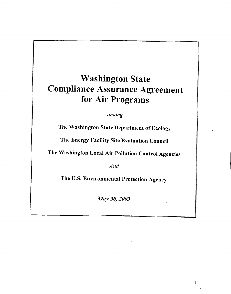# Washington State Compliance Assurance Agreement for Air Programs

*among*

The Washington State Department of Ecology

The Energy Facility Site Evaluation Council

The Washington Local Air Pollution Control Agencies

*And*

The U.S. Environmental Protection Agency

*May 30, 2003* 

 $\mathbf{1}$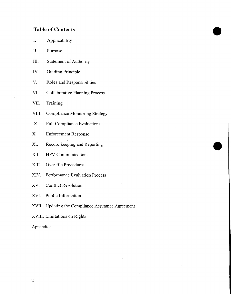# **Table of Contents**

- I. Applicability
- II. Purpose
- III. Statement of Authority
- IV. Guiding Principle
- V. Roles and Responsibilities
- VI. Collaborative Planning Process
- VII. Training
- VIII. Compliance Monitoring Strategy
- IX. Full Compliance Evaluations
- X. Enforcement Response
- XI. Record keeping and Reporting
- XII. HPV Communications
- XIII. Over file Procedures
- XIV. Performance Evaluation Process
- XV. Conflict Resolution
- XVI. Public Information
- XVII. Updating the Compliance Assurance Agreement
- XVIII. Limitations on Rights
- Appendices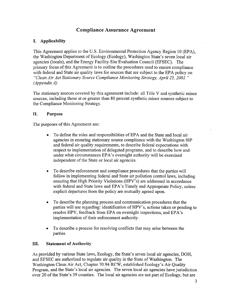# **Compliance Assurance Agreement**

## **I. Applicability**

This Agreement applies to the U.S. Environmental Protection Agency Region 10 (EPA), the Washington Department of Ecology (Ecology), Washington State's seven local air agencies (locals), and the Energy Facility Site Evaluation Council (EFSEC). The primary focus of this Agreement is to outline the procedures used to ensure compliance with federal and State air quality laws for sources that are subject to the EPA policy on *"Clean Air Act Stationary Source Compliance Monitoring Strategy, April 25, 2001. " (Appendix A)*

The stationary sources covered by this agreement include: all Title V and synthetic minor sources, including those at or greater than 80 percent synthetic minor sources subject to the Compliance Monitoring Strategy.

#### **II. Purpose**

The purposes of this Agreement are:

- To define the roles and responsibilities of EPA and the State and local air. agencies in ensuring stationary source compliance with the Washington SIP and federal air quality requirements, to describe federal expectations with respect to implementation of delegated programs, and to describe how and under what circumstances EPA's oversight authority will be exercised independent of the State or local air agencies.
- To describe enforcement and compliance procedures that the parties will follow in implementing federal and State air pollution control laws, including ensuring that High Priority Violations (HPV's) are addressed in accordance with federal and State laws and EPA's Timely and Appropriate Policy, unless explicit departures from the policy are mutually agreed upon.
- To describe the planning process and communication procedures that the parties will use regarding: identification of HPV's, actions taken or pending to resolve HPV, feedback from EPA on oversight inspections, and EPA's implementation of their enforcement authority.
- To describe a process for resolving conflicts that may arise between the parties.

#### **III. Statement of Authority**

As provided by various State laws, Ecology, the State's seven local air agencies, DOH, and EFSEC are authorized to regulate air quality in the State of Washington. The Washington Clean Air Act, Chapter 70.94 RCW, established Ecology's Air Quality Program, and the State's local air agencies. The seven local air agencies have jurisdiction over 20 of the State's 39 counties. The local air agencies are not part of Ecology, but are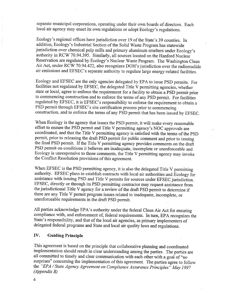separate municipal corporations, operating under their own boards of directors. Each local air agency may enact its own regulations or adopt Ecology's regulations.

Ecology's regional offices have jurisdiction over 19 of the State's 39 counties. In addition, Ecology's Industrial Section of the Solid Waste Program has statewide jurisdiction over chemical pulp mills and primary aluminum smelters under Ecology's authority in RCW 70.94.395. Similarly, all sources located on the Hartford Nuclear Reservation are regulated by Ecology's Nuclear Waste Program. The Washington Clean Air Act, under RCW 70.94.422, also recognizes DOH's jurisdiction over the radionuclide air emissions and EFSEC's separate authority to regulate large energy-related facilities.

Ecology and EFSEC are the only agencies delegated by EPA to issue PSD permits. For facilities not regulated by EFSEC, the delegated Title V permitting agencies, whether state or local, agree to enforce the requirement for a facility to obtain a PSD permit prior to commencing construction and to enforce the terms of any PSD permit. For facilities regulated by EFSEC, it is EFSEC's responsibility to enforce the requirement to obtain a PSD permit through EFSEC's site certification process prior to commencing construction, and to enforce the terms of any PSD permit that has been issued by EFSEC.

When Ecology is the agency that issues the PSD permit, it will make every reasonable effort to ensure the PSD permit and Title V permitting agency's NOC approvals are coordinated, and that the Title V permitting agency is satisfied with the terms of the PSD permit, prior to releasing the draft PSD permit for public comment and prior to issuing the final PSD permit. If the Title V permitting agency provides comments on the draft PSD permit on conditions it believes are inadequate, incomplete or unenforceable and Ecology is unresponsive to those comments, the Title V permitting agency may invoke the Conflict Resolution provisions of this agreement.

When EFSEC is the PSD permitting agency, it is also the delegated Title V permitting authority. EFSEC plans to establish contracts with local air authorities and Ecology for assistance with issuing PSD and Title V permits for sources under EFSEC jurisdiction. EFSEC, directly or through its PSD permitting contractor may request assistance from the jurisdictional Title V agency for a review of the draft PSD permit to determine if there are any Title V permit program issues related to inadequate, incomplete, or unenforceable requirements in the draft PSD permit.

All parties acknowledge EPA's authority under the federal Clean Air Act for ensuring compliance with, and enforcement of, federal requirements. In turn, EPA recognizes the State's responsibility, and that of the local air agencies, as primary implementers of delegated federal programs and State and local air quality laws and regulations.

#### **IV. Guiding Principle**

This agreement is based on the principle that collaborative planning and coordinated implementation should result in clear understanding among the parties. The parties are all committed to timely and clear communication with each other with a goal of "no surprises" concerning the implementation of this agreement. The parties agree to follow the *"EPA /State Agency Agreement on Compliance Assurance Principles" May 1997 (Appendix B)*

4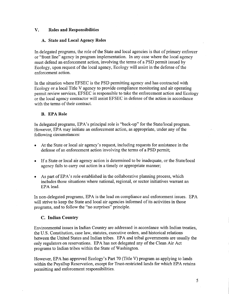## **V. Roles and Responsibilities**

## **A. State and Local Agency Roles**

In delegated programs, the role of the State and local agencies is that of primary enforcer or "front line" agency in program implementation. In any case where the local agency must defend an enforcement action, involving the terms of a PSD permit issued by Ecology, upon request of the local agency, Ecology will assist in the defense of the enforcement action.

In the situation where EFSEC is the PSD permitting agency and has contracted with Ecology or a local Title V agency to provide compliance monitoring and air operating permit review services, EFSEC is responsible to take the enforcement action and Ecology or the local agency contractor will assist EFSEC in defense of the action in accordance with the terms of their contract.

## **B. EPA Role**

In delegated programs, EPA's principal role is "back-up" for the State/local program. However, EPA may initiate an enforcement action, as appropriate, under any of the following circumstances:

- At the State or local air agency's request, including requests for assistance in the defense of an enforcement action involving the terms of a PSD permit;
- If a State or local air agency action is determined to be inadequate, or the State/local agency fails to carry out action in a timely or appropriate manner;
- As part of EPA's role established in the collaborative planning process, which includes those situations where national, regional, or sector initiatives warrant an EPA lead.

In non-delegated programs, EPA is the lead on compliance and enforcement issues. EPA will strive to keep the State and local air agencies informed of its activities in those programs, and to follow the "no surprises" principle.

# **C. Indian Country**

Environmental issues in Indian Country are addressed in accordance with Indian treaties, the U.S. Constitution, case law, statutes, executive orders, and historical relations between the United States and Indian tribes. EPA and tribal governments are usually the only regulators on reservations. EPA has not delegated any of the Clean Air Act programs to Indian tribes within the State of Washington.

However, EPA has approved Ecology's Part 70 (Title V) program as applying to lands within the Puyallup Reservation, except for Trust-restricted lands for which EPA retains permitting and enforcement responsibilities.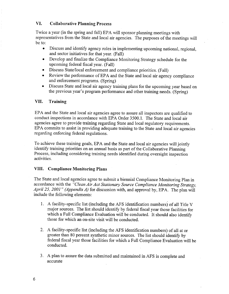# **VI. Collaborative Planning Process**

Twice a year (in the spring and fall) EPA will sponsor planning meetings with representatives from the State and local air agencies. The purposes of the meetings will be to:

- Discuss and identify agency roles in implementing upcoming national, regional, and sector initiatives for that year. (Fall)
- Develop and finalize the Compliance Monitoring Strategy schedule for the upcoming federal fiscal year. (Fall)
- Discuss State/local enforcement and compliance priorities. (Fall)
- Review the performance of EPA and the State and local air agency compliance and enforcement programs. (Spring)
- Discuss State and local air agency training plans for the upcoming year based on the previous year's program performance and other training needs. (Spring)

# **VII. Training**

EPA and the State and local air agencies agree to assure all inspectors are qualified to conduct inspections in accordance with EPA Order 3500.1. The State and local air agencies agree to provide training regarding State and local regulatory requirements. EPA commits to assist in providing adequate training to the State and local air agencies regarding enforcing federal regulations.

To achieve these training goals, EPA and the State and local air agencies will jointly identify training priorities on an annual basis as part of the Collaborative Planning Process, including considering training needs identified during oversight inspection activities.

## **VIII. Compliance Monitoring Plans**

The State and local agencies agree to submit a biennial Compliance Monitoring Plan in accordance with the *"Clean Air Act Stationary Source Compliance Monitoring Strategy, April 25, 2001" (Appendix A)* for discussion with, and approval by, EPA. The plan will include the following elements:

- 1. A facility-specific list (including the AFS identification numbers) of all Title V major sources. The list should identify by federal fiscal year those facilities for which a Full Compliance Evaluation will be conducted. It should also identify those for which an on-site visit will be conducted.
- 2. A facility-specific list (including the AFS identification numbers) of all at or greater than 80 percent synthetic minor sources. The list should identify by federal fiscal year those facilities for which a Full Compliance Evaluation will be conducted.
- 3. A plan to assure the data submitted and maintained in AFS is complete and accurate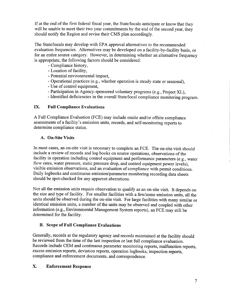If at the end of the first federal fiscal year, the State/locals anticipate or know that they will be unable to meet their two year commitments by the end of the second year, they should notify the Region and revise their CMS plan accordingly.

The State/locals may develop with EPA approval alternatives to the recommended evaluation frequencies. Alternatives may be developed on a facility-by-facility basis, or for an entire source category. However, in determining whether an alternative frequency is appropriate, the following factors should be considered:

- Compliance history,
- Location of facility,
- Potential environmental impact,
- Operational practices (e.g., whether operation is steady state or seasonal),
- Use of control equipment,
- Participation in Agency-sponsored voluntary programs (e.g., Project XL),
- Identified deficiencies in the overall State/local compliance monitoring program.

# **IX. Full Compliance Evaluations**

A Full Compliance Evaluation (FCE) may include onsite and/or offsite compliance assessments of a facility's emission units, records, and self-monitoring reports to determine compliance status.

## **A. On-Site Visits**

In most cases, an on-site visit is necessary to complete an FCE. The on-site visit should include a review of records and log books on source operations, observations of the facility in operation including control equipment and performance parameters (e.g., water flow rates, water pressure, static pressure drop, and control equipment power levels), visible emission observations, and an evaluation of compliance with permit conditions. Daily logbooks and continuous emission/parameter monitoring recording data sheets should be spot-checked for any apparent aberrations.

Not all the emission units require observation to qualify as an on-site visit. It depends on the size and type of facility. For smaller facilities with a few/some emission units, all the units should be observed during the on-site visit. For large facilities with many similar or identical emission units, a number of the units may be observed and coupled with other information (e.g., Environmental Management System reports), an FCE may still be determined for the facility.

# **B. Scope of Full Compliance Evaluations**

Generally, records at the regulatory agency and records maintained at the facility should be reviewed from the time of the last inspection or last full compliance evaluation. Records include CEM and continuous parameter monitoring reports, malfunction reports, excess emission reports, deviation reports, operation logbooks, inspection reports, compliance and enforcement documents, and correspondence.

# **X. Enforcement Response**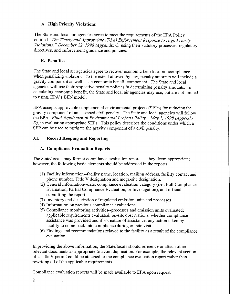#### **A. High Priority Violations**

The State and local air agencies agree to meet the requirements of the EPA Policy entitled *"The Timely and Appropriate (T&A) Enforcement Response to High Priority Violations, " December 22, 1998 (Appendix C)* using their statutory processes, regulatory directives, and enforcement guidance and policies.

#### **B. Penalties**

The State and local air agencies agree to recover economic benefit of noncompliance when penalizing violators. To the extent allowed by law, penalty amounts will include a gravity component as well as an economic benefit component. The State and local agencies will use their respective penalty policies in determining penalty amounts. In calculating economic benefit, the State and local air agencies may use, but are not limited to using, EPA's BEN model.

EPA accepts approvable supplemental environmental projects (SEPs) for reducing the gravity component of an assessed civil penalty. The State and local agencies will follow the EPA *"Final Supplemental Environmental Projects Policy, " May 1, 1998 (Appendix D),* in evaluating appropriate SEPs. This policy describes the conditions under which a SEP can be used to mitigate the gravity component of a civil penalty.

#### **XI. Record Keeping and Reporting**

#### **A. Compliance Evaluation Reports**

The State/locals may format compliance evaluation reports as they deem appropriate; however, the following basic elements should be addressed in the reports:

- (1) Facility information—facility name, location, mailing address, facility contact and phone number, Title V designation and mega-site designation.
- (2) General information—date, compliance evaluation category (i.e., Full Compliance Evaluation, Partial Compliance Evaluation, or Investigation), and official submitting the report.
- (3) Inventory and description of regulated emission units and processes
- (4) Information on previous compliance evaluations.
- (5) Compliance monitoring activities—processes and emission units evaluated; applicable requirements evaluated; on-site observations; whether compliance assistance was provided and if so, nature of assistance; any action taken by facility to come back into compliance during on-site visit.
- (6) Findings and recommendations relayed to the facility as a result of the compliance evaluation.

In providing the above information, the State/locals should reference or attach other relevant documents as appropriate to avoid duplication. For example, the relevant section of a Title V permit could be attached to the compliance evaluation report rather than rewriting all of the applicable requirements.

Compliance evaluation reports will be made available to EPA upon request.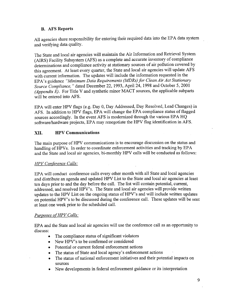# B. AFS Reports

All agencies share responsibility for entering their required data into the EPA data system and verifying data quality.

The State and local air agencies will maintain the Air Information and Retrieval System (AIRS) Facility Subsystem (AFS) as a complete and accurate inventory of compliance determinations and compliance activity at stationary sources of air pollution covered by this agreement. At least every quarter, the State and local air agencies will update AFS with current information. The updates will include the information requested in the EPA's guidance *"Minimum Data Requirements (MDRs) for Clean Air Act Stationary Source Compliance, "* dated December 22, 1993, April 24, 1998 and October 5, 2001 *(Appendix E).* For Title V and synthetic minor MACT sources, the applicable subparts will be entered into AFS.

EPA will enter HPV flags (e.g. Day 0, Day Addressed, Day Resolved, Lead Changes) in AFS. In addition to HPV flags, EPA will change the EPA compliance status of flagged sources accordingly. In the event AFS is modernized through the various EPA HQ software/hardware projects, EPA may renegotiate the HPV flag identification in AFS.

# XII. HPV Communications

The main purpose of HPV communications is to encourage discussion on the status and handling of HPVs. In order to coordinate enforcement activities and tracking by EPA and the State and local air agencies, bi-monthly HPV calls will be conducted as follows:

# *HPV Conference Calls:*

EPA will conduct conference calls every other month with all State and local agencies and distribute an agenda and updated HPV List to the State and local air agencies at least ten days prior to and the day before the call. The list will contain potential, current, addressed, and resolved HPV's. The State and local air agencies will provide written updates to the HPV List on the ongoing status of HPV's and will include written updates on potential HPV's to be discussed during the conference call. These updates will be sent at least one week prior to the scheduled call.

# *Purposes of HPV Calls:*

EPA and the State and local air agencies will use the conference call as an opportunity to discuss:

- The compliance status of significant violators
- New HPV's to be confirmed or considered
- Potential or current federal enforcement actions
- The status of State and local agency's enforcement actions
- The status of national enforcement initiatives and their potential impacts on sources
- New developments in federal enforcement guidance or its interpretation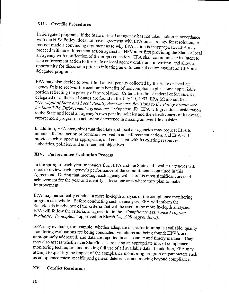# **XIII. Overfile Procedures**

In delegated programs, if the State or local air agency has not taken action in accordance with the HPV Policy, does not have agreement with EPA on a strategy for resolution, or has not made a convincing argument as to why EPA action is inappropriate, EPA may proceed with an enforcement action against an HPV after first providing the State or local air agency with notification of the proposed action. EPA shall communicate its intent to take enforcement action to the State or local agency orally and in writing, and allow an opportunity for discussion prior to initiating an enforcement action against an HPV in a delegated program.

EPA may also decide to over file if a civil penalty collected by the State or local air agency fails to recover the economic benefits of noncompliance plus some appreciable portion reflecting the gravity of the violation. Criteria for direct federal enforcement in delegated or authorized States are found in the July 20, 1993, EPA Memo entitled *"Oversight of State and Local Penalty Assessments: Revisions to the Policy Framework for State/EPA Enforcement Agreements, " (Appendix F).* EPA will give due consideration to the State and local air agency's own penalty policies and the effectiveness of its overall enforcement program in achieving deterrence in making an over file decision.

In addition, EPA recognizes that the State and local air agencies may request EPA to initiate a federal action or become involved in an enforcement action, and EPA will provide such support as appropriate, and consistent with its existing resources, authorities, policies, and enforcement objectives.

# **XIV. Performance Evaluation Process**

In the spring of each year, managers from EPA and the State and local air agencies will meet to review each agency's performance of the commitments contained in this Agreement. During that meeting, each agency will share its most significant areas of achievement for the year and identify at least one area where they plan to make improvement.

EPA may periodically conduct a more in-depth analysis of the compliance monitoring program as a whole. Before conducting such an analysis, EPA will inform the State/locals in advance of the criteria that will be used in the more in-depth analyses. EPA will follow the criteria, as agreed to, in the *"Compliance Assurance Program Evaluation Principles, "* approved on March 24, 1998 *(Appendix G).*

EPA may evaluate, for example, whether adequate inspector training is available; quality monitoring evaluations are being conducted; violations are being found; HPV's are appropriately addressed; and data are reported in an accurate and timely manner. They may also assess whether the State/locals are using an appropriate mix of compliance monitoring techniques, and making full use of all available data. In addition, EPA may attempt to quantify the impact of the compliance monitoring program on parameters such as compliance rates; specific and general deterrence; and moving beyond compliance.

#### **XV. Conflict Resolution**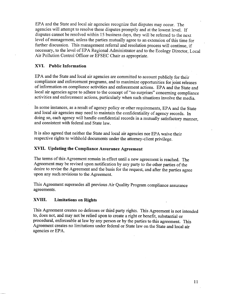EPA and the State and local air agencies recognize that disputes may occur. The agencies will attempt to resolve these disputes promptly and at the lowest level. If disputes cannot be resolved within 15 business days, they will be referred to the next level of management, unless the parties mutually agree to an extension of this time for further discussion. This management referral and resolution process will continue, if necessary, to the level of EPA Regional Administrator and to the Ecology Director, Local Air Pollution Control Officer or EFSEC Chair as appropriate.

#### **XVI. Public Information**

EPA and the State and local air agencies are committed to account publicly for their compliance and enforcement programs, and to maximize opportunities for joint releases of information on compliance activities and enforcement actions. EPA and the State and local air agencies agree to adhere to the concept of "no surprises" concerning compliance activities and enforcement actions, particularly when such situations involve the media.

In some instances, as a result of agency policy or other requirements, EPA and the State and local air agencies may need to maintain the confidentiality of agency records. In doing so, each agency will handle confidential records in a mutually satisfactory manner, and consistent with federal and State law.

It is also agreed that neither the State and local air agencies nor EPA waive their respective rights to withhold documents under the attorney-client privilege.

## **XVII. Updating the Compliance Assurance Agreement**

The terms of this Agreement remain in effect until a new agreement is reached. The Agreement may be revised upon notification by any party to the other parties of the desire to revise the Agreement and the basis for the request, and after the parties agree upon any such revisions to the Agreement.

This Agreement supersedes all previous Air Quality Program compliance assurance agreements.

#### **XVIII. Limitations on Rights**

This Agreement creates no defenses or third party rights. This Agreement is not intended to, does not, and may not be relied upon to create a right or benefit, substantial or procedural, enforceable at law by any person or by the parties to this agreement. This Agreement creates no limitations under federal or State law on the State and local air agencies or EPA.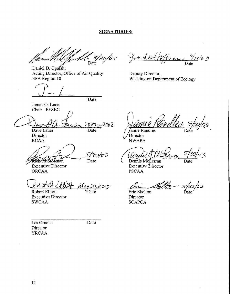#### **SIGNATORIES:**

 $\frac{1}{\sqrt{2}}$  5/30/03

Daniel D. Opalski Acting Director, Office of Air Quality EPA Region 10

James O. Luce Chair EFSEC

 $30\mu_{a}\sqrt{2003}$ 

Dave Lauer Director BCAA

Date

Date

 $\frac{\mathcal{S}}{\sqrt{30}}$ Ríchard Stedman

Executive Director ORCAA

 $34741/11$  $\frac{\partial \mathcal{M}}{\partial \theta}$  Date  $\frac{\partial \mathcal{M}}{\partial \theta}$  Eric Skelton

Robert Elliott Executive Director SWCAA

 $\frac{\frac{10}{11}}{\text{Date}}$ Jundasfr

Deputy Director, Washington Department of Ecology

Jamie Randies

'Director NWAPA

∕∘∑  $\mathcal{S}$ 

Dennis McLerran Executive Director PSCAA

Date

5/30/03<br>Date

Director **SCAPCA** 

Les Ornelas Director YRCAA

Date